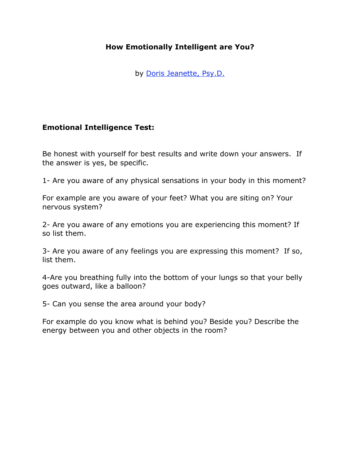## **How Emotionally Intelligent are You?**

by Doris Jeanette, Psy.D.

## **Emotional Intelligence Test:**

Be honest with yourself for best results and write down your answers. If the answer is yes, be specific.

1- Are you aware of any physical sensations in your body in this moment?

For example are you aware of your feet? What you are siting on? Your nervous system?

2- Are you aware of any emotions you are experiencing this moment? If so list them.

3- Are you aware of any feelings you are expressing this moment? If so, list them.

4-Are you breathing fully into the bottom of your lungs so that your belly goes outward, like a balloon?

5- Can you sense the area around your body?

For example do you know what is behind you? Beside you? Describe the energy between you and other objects in the room?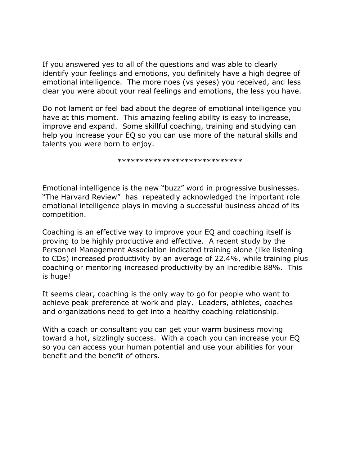If you answered yes to all of the questions and was able to clearly identify your feelings and emotions, you definitely have a high degree of emotional intelligence. The more noes (vs yeses) you received, and less clear you were about your real feelings and emotions, the less you have.

Do not lament or feel bad about the degree of emotional intelligence you have at this moment. This amazing feeling ability is easy to increase, improve and expand. Some skillful coaching, training and studying can help you increase your EQ so you can use more of the natural skills and talents you were born to enjoy.

\*\*\*\*\*\*\*\*\*\*\*\*\*\*\*\*\*\*\*\*\*\*\*\*\*\*\*\*

Emotional intelligence is the new "buzz" word in progressive businesses. "The Harvard Review" has repeatedly acknowledged the important role emotional intelligence plays in moving a successful business ahead of its competition.

Coaching is an effective way to improve your EQ and coaching itself is proving to be highly productive and effective. A recent study by the Personnel Management Association indicated training alone (like listening to CDs) increased productivity by an average of 22.4%, while training plus coaching or mentoring increased productivity by an incredible 88%. This is huge!

It seems clear, coaching is the only way to go for people who want to achieve peak preference at work and play. Leaders, athletes, coaches and organizations need to get into a healthy coaching relationship.

With a coach or consultant you can get your warm business moving toward a hot, sizzlingly success. With a coach you can increase your EQ so you can access your human potential and use your abilities for your benefit and the benefit of others.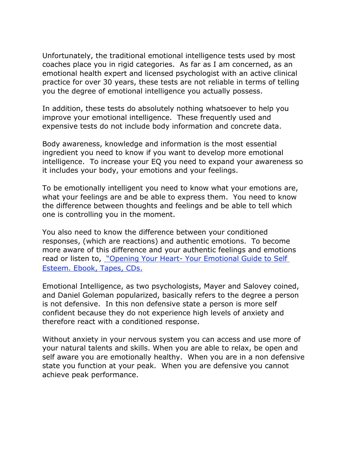Unfortunately, the traditional emotional intelligence tests used by most coaches place you in rigid categories. As far as I am concerned, as an emotional health expert and licensed psychologist with an active clinical practice for over 30 years, these tests are not reliable in terms of telling you the degree of emotional intelligence you actually possess.

In addition, these tests do absolutely nothing whatsoever to help you improve your emotional intelligence. These frequently used and expensive tests do not include body information and concrete data.

Body awareness, knowledge and information is the most essential ingredient you need to know if you want to develop more emotional intelligence. To increase your EQ you need to expand your awareness so it includes your body, your emotions and your feelings.

To be emotionally intelligent you need to know what your emotions are, what your feelings are and be able to express them. You need to know the difference between thoughts and feelings and be able to tell which one is controlling you in the moment.

You also need to know the difference between your conditioned responses, (which are reactions) and authentic emotions. To become more aware of this difference and your authentic feelings and emotions read or listen to, "Opening Your Heart- Your Emotional Guide to Self Esteem. Ebook, Tapes, CDs.

Emotional Intelligence, as two psychologists, Mayer and Salovey coined, and Daniel Goleman popularized, basically refers to the degree a person is not defensive. In this non defensive state a person is more self confident because they do not experience high levels of anxiety and therefore react with a conditioned response.

Without anxiety in your nervous system you can access and use more of your natural talents and skills. When you are able to relax, be open and self aware you are emotionally healthy. When you are in a non defensive state you function at your peak. When you are defensive you cannot achieve peak performance.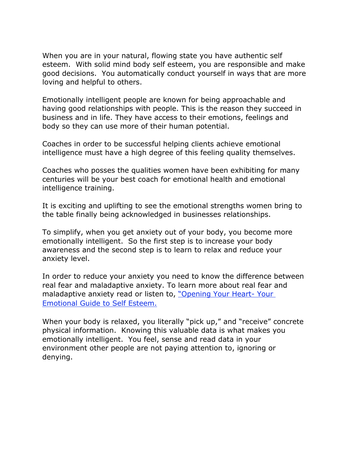When you are in your natural, flowing state you have authentic self esteem. With solid mind body self esteem, you are responsible and make good decisions. You automatically conduct yourself in ways that are more loving and helpful to others.

Emotionally intelligent people are known for being approachable and having good relationships with people. This is the reason they succeed in business and in life. They have access to their emotions, feelings and body so they can use more of their human potential.

Coaches in order to be successful helping clients achieve emotional intelligence must have a high degree of this feeling quality themselves.

Coaches who posses the qualities women have been exhibiting for many centuries will be your best coach for emotional health and emotional intelligence training.

It is exciting and uplifting to see the emotional strengths women bring to the table finally being acknowledged in businesses relationships.

To simplify, when you get anxiety out of your body, you become more emotionally intelligent. So the first step is to increase your body awareness and the second step is to learn to relax and reduce your anxiety level.

In order to reduce your anxiety you need to know the difference between real fear and maladaptive anxiety. To learn more about real fear and maladaptive anxiety read or listen to, "Opening Your Heart- Your Emotional Guide to Self Esteem.

When your body is relaxed, you literally "pick up," and "receive" concrete physical information. Knowing this valuable data is what makes you emotionally intelligent. You feel, sense and read data in your environment other people are not paying attention to, ignoring or denying.